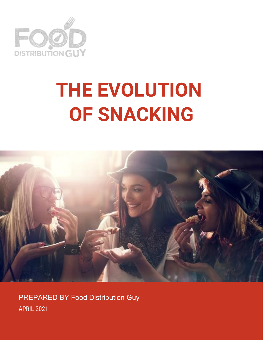

# **THE EVOLUTION OF SNACKING**



PREPARED BY Food Distribution Guy APRIL 2021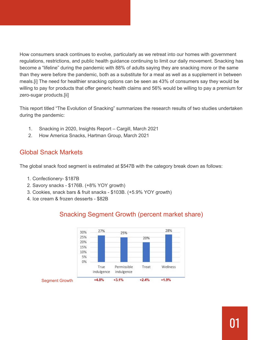How consumers snack continues to evolve, particularly as we retreat into our homes with government regulations, restrictions, and public health guidance continuing to limit our daily movement. Snacking has become a "lifeline" during the pandemic with 88% of adults saying they are snacking more or the same than they were before the pandemic, both as a substitute for a meal as well as a supplement in between meals.[i] The need for healthier snacking options can be seen as 43% of consumers say they would be willing to pay for products that offer generic health claims and 56% would be willing to pay a premium for zero-sugar products.[ii]

This report titled "The Evolution of Snacking" summarizes the research results of two studies undertaken during the pandemic:

- 1. Snacking in 2020, Insights Report Cargill, March 2021
- 2. How America Snacks, Hartman Group, March 2021

## Global Snack Markets

The global snack food segment is estimated at \$547B with the category break down as follows:

- 1. Confectionery- \$187B
- 2. Savory snacks \$176B. (+8% YOY growth)
- 3. Cookies, snack bars & fruit snacks \$103B. (+5.9% YOY growth)
- 4. Ice cream & frozen desserts \$82B

# Snacking Segment Growth (percent market share)

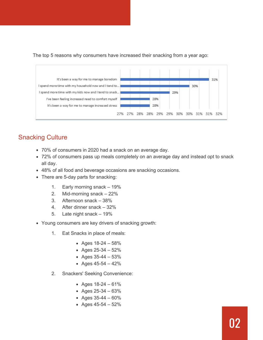The top 5 reasons why consumers have increased their snacking from a year ago:



# Snacking Culture

- 70% of consumers in 2020 had a snack on an average day.
- 72% of consumers pass up meals completely on an average day and instead opt to snack all day.
- 48% of all food and beverage occasions are snacking occasions.
- There are 5-day parts for snacking:
	- 1. Early morning snack 19%
	- 2. Mid-morning snack 22%
	- 3. Afternoon snack 38%
	- 4. After dinner snack 32%
	- 5. Late night snack 19%
- Young consumers are key drivers of snacking growth:
	- 1. Eat Snacks in place of meals:
		- Ages  $18-24 58%$
		- Ages  $25-34 52%$
		- Ages  $35-44 53%$
		- Ages  $45-54 42%$
	- 2. Snackers' Seeking Convenience:
		- Ages  $18-24 61%$
		- Ages  $25-34 63%$
		- Ages  $35-44 60%$
		- Ages  $45-54 52%$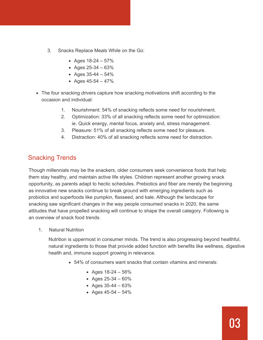- 3. Snacks Replace Meals While on the Go:
	- Ages  $18-24 57%$
	- Ages  $25-34 63%$
	- Ages  $35-44 54%$
	- Ages  $45-54 47%$
- The four snacking drivers capture how snacking motivations shift according to the occasion and individual:
	- 1. Nourishment: 54% of snacking reflects some need for nourishment.
	- 2. Optimization: 33% of all snacking reflects some need for optimization: ie. Quick energy, mental focus, anxiety and, stress management.
	- 3. Pleasure: 51% of all snacking reflects some need for pleasure.
	- 4. Distraction: 40% of all snacking reflects some need for distraction.

# Snacking Trends

Though millennials may be the snackers, older consumers seek convenience foods that help them stay healthy, and maintain active life styles. Children represent another growing snack opportunity, as parents adapt to hectic schedules. Prebiotics and fiber are merely the beginning as innovative new snacks continue to break ground with emerging ingredients such as probiotics and superfoods like pumpkin, flaxseed, and kale. Although the landscape for snacking saw significant changes in the way people consumed snacks in 2020, the same attitudes that have propelled snacking will continue to shape the overall category. Following is an overview of snack food trends.

1. Natural Nutrition

Nutrition is uppermost in consumer minds. The trend is also progressing beyond healthful, natural ingredients to those that provide added function with benefits like wellness, digestive health and, immune support growing in relevance.

- 54% of consumers want snacks that contain vitamins and minerals:
	- Ages  $18-24 56%$
	- Ages  $25-34 60%$
	- Ages  $35-44 63%$
	- Ages  $45-54 54%$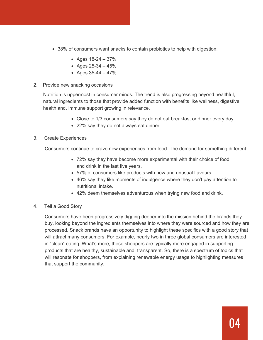- 38% of consumers want snacks to contain probiotics to help with digestion:
	- Ages  $18-24 37%$
	- Ages  $25-34 45%$
	- Ages  $35-44 47%$
- 2. Provide new snacking occasions

Nutrition is uppermost in consumer minds. The trend is also progressing beyond healthful, natural ingredients to those that provide added function with benefits like wellness, digestive health and, immune support growing in relevance.

- Close to 1/3 consumers say they do not eat breakfast or dinner every day.
- 22% say they do not always eat dinner.

#### 3. Create Experiences

Consumers continue to crave new experiences from food. The demand for something different:

- 72% say they have become more experimental with their choice of food and drink in the last five years.
- 57% of consumers like products with new and unusual flavours.
- 46% say they like moments of indulgence where they don't pay attention to nutritional intake.
- 42% deem themselves adventurous when trying new food and drink.
- 4. Tell a Good Story

Consumers have been progressively digging deeper into the mission behind the brands they buy, looking beyond the ingredients themselves into where they were sourced and how they are processed. Snack brands have an opportunity to highlight these specifics with a good story that will attract many consumers. For example, nearly two in three global consumers are interested in "clean" eating. What's more, these shoppers are typically more engaged in supporting products that are healthy, sustainable and, transparent. So, there is a spectrum of topics that will resonate for shoppers, from explaining renewable energy usage to highlighting measures that support the community.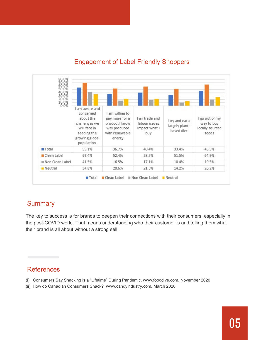

# Engagement of Label Friendly Shoppers

## **Summary**

The key to success is for brands to deepen their connections with their consumers, especially in the post-COVID world. That means understanding who their customer is and telling them what their brand is all about without a strong sell.

# References

- (i) Consumers Say Snacking is a "Lifetime" During Pandemic, www.fooddive.com, November 2020
- (ii) How do Canadian Consumers Snack? www.candyindustry.com, March 2020